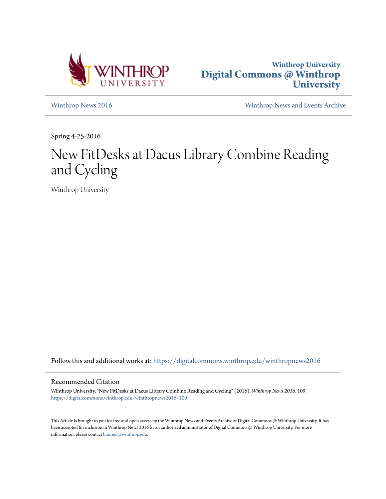



[Winthrop News 2016](https://digitalcommons.winthrop.edu/winthropnews2016?utm_source=digitalcommons.winthrop.edu%2Fwinthropnews2016%2F109&utm_medium=PDF&utm_campaign=PDFCoverPages) [Winthrop News and Events Archive](https://digitalcommons.winthrop.edu/winthropnewsarchives?utm_source=digitalcommons.winthrop.edu%2Fwinthropnews2016%2F109&utm_medium=PDF&utm_campaign=PDFCoverPages)

Spring 4-25-2016

# New FitDesks at Dacus Library Combine Reading and Cycling

Winthrop University

Follow this and additional works at: [https://digitalcommons.winthrop.edu/winthropnews2016](https://digitalcommons.winthrop.edu/winthropnews2016?utm_source=digitalcommons.winthrop.edu%2Fwinthropnews2016%2F109&utm_medium=PDF&utm_campaign=PDFCoverPages)

### Recommended Citation

Winthrop University, "New FitDesks at Dacus Library Combine Reading and Cycling" (2016). *Winthrop News 2016*. 109. [https://digitalcommons.winthrop.edu/winthropnews2016/109](https://digitalcommons.winthrop.edu/winthropnews2016/109?utm_source=digitalcommons.winthrop.edu%2Fwinthropnews2016%2F109&utm_medium=PDF&utm_campaign=PDFCoverPages)

This Article is brought to you for free and open access by the Winthrop News and Events Archive at Digital Commons @ Winthrop University. It has been accepted for inclusion in Winthrop News 2016 by an authorized administrator of Digital Commons @ Winthrop University. For more information, please contact [bramed@winthrop.edu](mailto:bramed@winthrop.edu).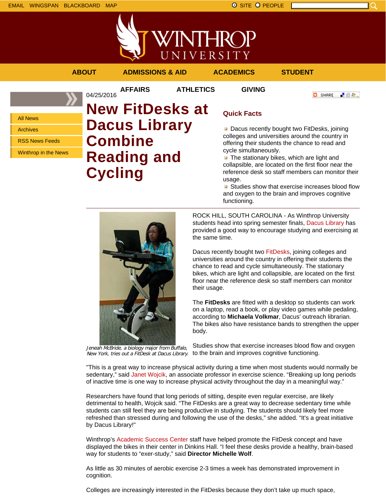



**AFFAIRS ATHLETICS GIVING**

04/25/2016

**O** SHARE

■金々。

All News Archives RSS News Feeds

Winthrop in the News

# **New FitDesks at Dacus Library Combine Reading and Cycling**

## **Quick Facts**

Dacus recently bought two FitDesks, joining colleges and universities around the country in offering their students the chance to read and cycle simultaneously.

 $\blacksquare$  The stationary bikes, which are light and collapsible, are located on the first floor near the reference desk so staff members can monitor their usage.

**Studies show that exercise increases blood flow** and oxygen to the brain and improves cognitive functioning.



Jeneah McBride, a biology major from Buffalo,

ROCK HILL, SOUTH CAROLINA - As Winthrop University students head into spring semester finals, Dacus Library has provided a good way to encourage studying and exercising at the same time.

Dacus recently bought two FitDesks, joining colleges and universities around the country in offering their students the chance to read and cycle simultaneously. The stationary bikes, which are light and collapsible, are located on the first floor near the reference desk so staff members can monitor their usage.

The **FitDesks** are fitted with a desktop so students can work on a laptop, read a book, or play video games while pedaling, according to **Michaela Volkmar**, Dacus' outreach librarian. The bikes also have resistance bands to strengthen the upper body.

New York, tries out a FitDesk at Dacus Library. to the brain and improves cognitive functioning. Studies show that exercise increases blood flow and oxygen

"This is a great way to increase physical activity during a time when most students would normally be sedentary," said Janet Wojcik, an associate professor in exercise science. "Breaking up long periods of inactive time is one way to increase physical activity throughout the day in a meaningful way."

Researchers have found that long periods of sitting, despite even regular exercise, are likely detrimental to health, Wojcik said. "The FitDesks are a great way to decrease sedentary time while students can still feel they are being productive in studying. The students should likely feel more refreshed than stressed during and following the use of the desks," she added. "It's a great initiative by Dacus Library!"

Winthrop's Academic Success Center staff have helped promote the FitDesk concept and have displayed the bikes in their center in Dinkins Hall. "I feel these desks provide a healthy, brain-based way for students to "exer-study," said **Director Michelle Wolf**.

As little as 30 minutes of aerobic exercise 2-3 times a week has demonstrated improvement in cognition.

Colleges are increasingly interested in the FitDesks because they don't take up much space,